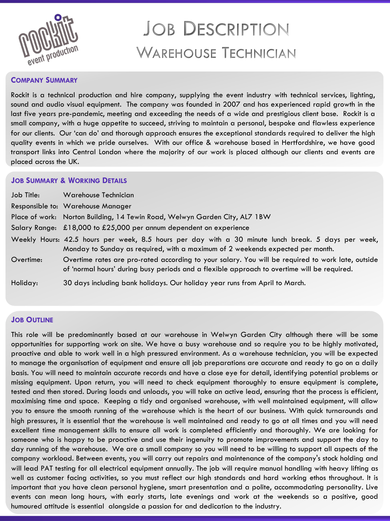

# **JOB DESCRIPTION WAREHOUSE TECHNICIAN**

### **COMPANY SUMMARY**

Rockit is a technical production and hire company, supplying the event industry with technical services, lighting, sound and audio visual equipment. The company was founded in 2007 and has experienced rapid growth in the last five years pre-pandemic, meeting and exceeding the needs of a wide and prestigious client base. Rockit is a small company, with a huge appetite to succeed, striving to maintain a personal, bespoke and flawless experience for our clients. Our 'can do' and thorough approach ensures the exceptional standards required to deliver the high quality events in which we pride ourselves. With our office & warehouse based in Hertfordshire, we have good transport links into Central London where the majority of our work is placed although our clients and events are placed across the UK.

#### **JOB SUMMARY & WORKING DETAILS**

| Job Title: | Warehouse Technician                                                                                                                                                                             |
|------------|--------------------------------------------------------------------------------------------------------------------------------------------------------------------------------------------------|
|            | Responsible to: Warehouse Manager                                                                                                                                                                |
|            | Place of work: Norton Building, 14 Tewin Road, Welwyn Garden City, AL7 1BW                                                                                                                       |
|            | Salary Range: £18,000 to £25,000 per annum dependent on experience                                                                                                                               |
|            | Weekly Hours: 42.5 hours per week, 8.5 hours per day with a 30 minute lunch break. 5 days per week,<br>Monday to Sunday as required, with a maximum of 2 weekends expected per month.            |
| Overtime:  | Overtime rates are pro-rated according to your salary. You will be required to work late, outside<br>of 'normal hours' during busy periods and a flexible approach to overtime will be required. |
| Holiday:   | 30 days including bank holidays. Our holiday year runs from April to March.                                                                                                                      |

### **JOB OUTLINE**

This role will be predominantly based at our warehouse in Welwyn Garden City although there will be some opportunities for supporting work on site. We have a busy warehouse and so require you to be highly motivated, proactive and able to work well in a high pressured environment. As a warehouse technician, you will be expected to manage the organisation of equipment and ensure all job preparations are accurate and ready to go on a daily basis. You will need to maintain accurate records and have a close eye for detail, identifying potential problems or missing equipment. Upon return, you will need to check equipment thoroughly to ensure equipment is complete, tested and then stored. During loads and unloads, you will take an active lead, ensuring that the process is efficient, maximising time and space. Keeping a tidy and organised warehouse, with well maintained equipment, will allow you to ensure the smooth running of the warehouse which is the heart of our business. With quick turnarounds and high pressures, it is essential that the warehouse is well maintained and ready to go at all times and you will need excellent time management skills to ensure all work is completed efficiently and thoroughly. We are looking for someone who is happy to be proactive and use their ingenuity to promote improvements and support the day to day running of the warehouse. We are a small company so you will need to be willing to support all aspects of the company workload. Between events, you will carry out repairs and maintenance of the company's stock holding and will lead PAT testing for all electrical equipment annually. The job will require manual handling with heavy lifting as well as customer facing activities, so you must reflect our high standards and hard working ethos throughout. It is important that you have clean personal hygiene, smart presentation and a polite, accommodating personality. Live events can mean long hours, with early starts, late evenings and work at the weekends so a positive, good humoured attitude is essential alongside a passion for and dedication to the industry.